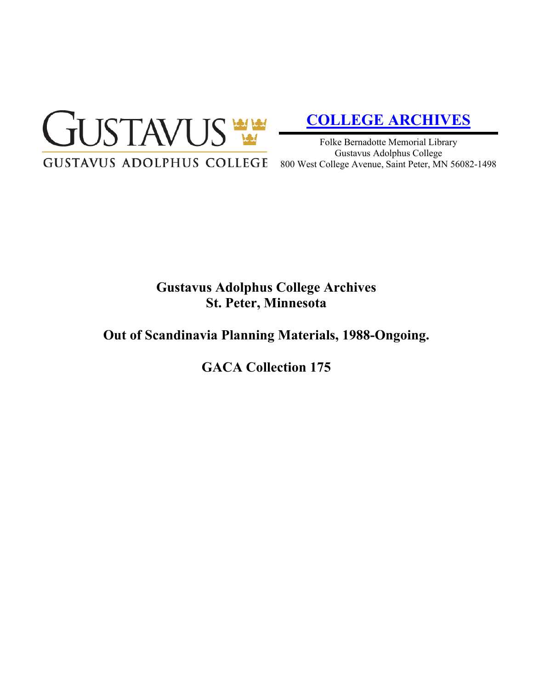

# **[COLLEGE ARCHIVES](http://gustavus.edu/academics/library/archives/)**

Folke Bernadotte Memorial Library Gustavus Adolphus College 800 West College Avenue, Saint Peter, MN 56082-1498

# **Gustavus Adolphus College Archives St. Peter, Minnesota**

## **Out of Scandinavia Planning Materials, 1988-Ongoing.**

**GACA Collection 175**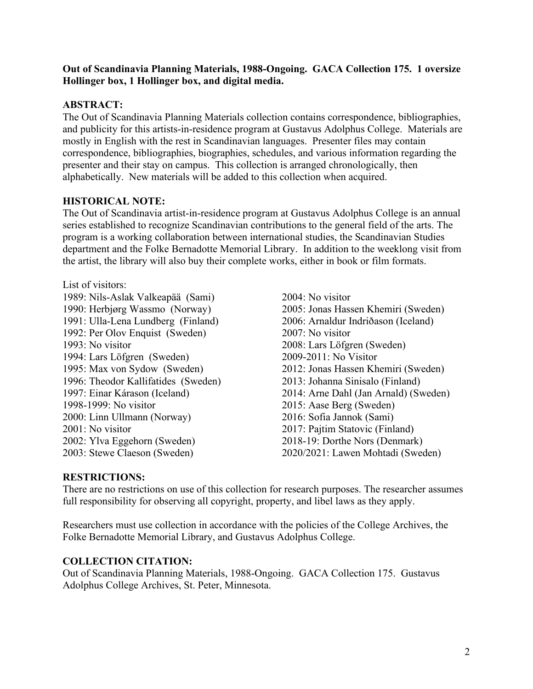#### **Out of Scandinavia Planning Materials, 1988-Ongoing. GACA Collection 175. 1 oversize Hollinger box, 1 Hollinger box, and digital media.**

### **ABSTRACT:**

The Out of Scandinavia Planning Materials collection contains correspondence, bibliographies, and publicity for this artists-in-residence program at Gustavus Adolphus College. Materials are mostly in English with the rest in Scandinavian languages. Presenter files may contain correspondence, bibliographies, biographies, schedules, and various information regarding the presenter and their stay on campus. This collection is arranged chronologically, then alphabetically. New materials will be added to this collection when acquired.

### **HISTORICAL NOTE:**

The Out of Scandinavia artist-in-residence program at Gustavus Adolphus College is an annual series established to recognize Scandinavian contributions to the general field of the arts. The program is a working collaboration between international studies, the Scandinavian Studies department and the Folke Bernadotte Memorial Library. In addition to the weeklong visit from the artist, the library will also buy their complete works, either in book or film formats.

List of visitors: 1989: Nils-Aslak Valkeapää (Sami) 1990: Herbjørg Wassmo (Norway) 1991: Ulla-Lena Lundberg (Finland) 1992: Per Olov Enquist (Sweden) 1993: No visitor 1994: Lars Löfgren (Sweden) 1995: Max von Sydow (Sweden) 1996: Theodor Kallifatides (Sweden) 1997: Einar Kárason (Iceland) 1998-1999: No visitor 2000: Linn Ullmann (Norway) 2001: No visitor 2002: Ylva Eggehorn (Sweden) 2003: Stewe Claeson (Sweden)

2004: No visitor 2005: Jonas Hassen Khemiri (Sweden) 2006: Arnaldur Indriðason (Iceland) 2007: No visitor 2008: Lars Löfgren (Sweden) 2009-2011: No Visitor 2012: Jonas Hassen Khemiri (Sweden) 2013: Johanna Sinisalo (Finland) 2014: Arne Dahl (Jan Arnald) (Sweden) 2015: Aase Berg (Sweden) 2016: Sofia Jannok (Sami) 2017: Pajtim Statovic (Finland) 2018-19: Dorthe Nors (Denmark) 2020/2021: Lawen Mohtadi (Sweden)

#### **RESTRICTIONS:**

There are no restrictions on use of this collection for research purposes. The researcher assumes full responsibility for observing all copyright, property, and libel laws as they apply.

Researchers must use collection in accordance with the policies of the College Archives, the Folke Bernadotte Memorial Library, and Gustavus Adolphus College.

#### **COLLECTION CITATION:**

Out of Scandinavia Planning Materials, 1988-Ongoing. GACA Collection 175. Gustavus Adolphus College Archives, St. Peter, Minnesota.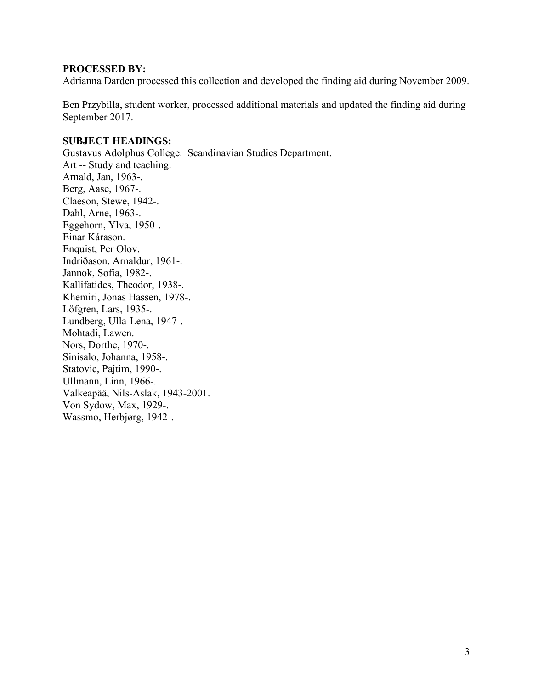#### **PROCESSED BY:**

Adrianna Darden processed this collection and developed the finding aid during November 2009.

Ben Przybilla, student worker, processed additional materials and updated the finding aid during September 2017.

#### **SUBJECT HEADINGS:**

Gustavus Adolphus College. Scandinavian Studies Department. Art -- Study and teaching. Arnald, Jan, 1963-. Berg, Aase, 1967-. Claeson, Stewe, 1942-. Dahl, Arne, 1963-. Eggehorn, Ylva, 1950-. Einar Kárason. Enquist, Per Olov. Indriðason, Arnaldur, 1961-. Jannok, Sofia, 1982-. Kallifatides, Theodor, 1938-. Khemiri, Jonas Hassen, 1978-. Löfgren, Lars, 1935-. Lundberg, Ulla-Lena, 1947-. Mohtadi, Lawen. Nors, Dorthe, 1970-. Sinisalo, Johanna, 1958-. Statovic, Pajtim, 1990-. Ullmann, Linn, 1966-. Valkeapää, Nils-Aslak, 1943-2001. Von Sydow, Max, 1929-. Wassmo, Herbjørg, 1942-.